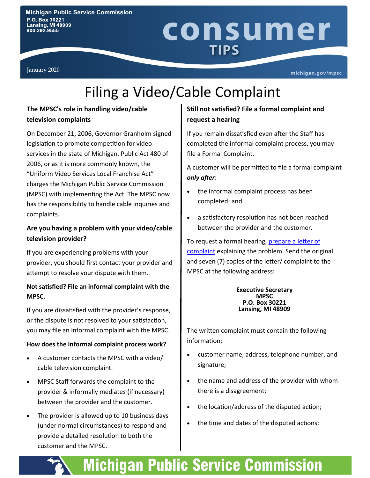No. 16:22 Decembe 2016

### consumer **TIPS** Lifeline Eligibility

January 2020

michigan.gov/mpsc

## Filing a Video/Cable Complaint

### **The MPSC's role in handling video/cable television complaints**

On December 21, 2006, Governor Granholm signed legislation to promote competition for video services in the state of Michigan. Public Act 480 of 2006, or as it is more commonly known, the "Uniform Video Services Local Franchise Act" charges the Michigan Public Service Commission (MPSC) with implementing the Act. The MPSC now has the responsibility to handle cable inquiries and complaints.

### **Are you having a problem with your video/cable television provider?**

If you are experiencing problems with your provider, you should first contact your provider and attempt to resolve your dispute with them.

### **Not satisfied? File an informal complaint with the MPSC.**

If you are dissatisfied with the provider's response, or the dispute is not resolved to your satisfaction, you may file an informal complaint with the MPSC.

### **How does the informal complaint process work?**

- A customer contacts the MPSC with a video/ cable television complaint.
- MPSC Staff forwards the complaint to the provider & informally mediates (if necessary) between the provider and the customer.
- The provider is allowed up to 10 business days (under normal circumstances) to respond and provide a detailed resolution to both the customer and the MPSC.

### **Still not satisfied? File a formal complaint and request a hearing**

If you remain dissatisfied even after the Staff has completed the informal complaint process, you may file a Formal Complaint.

A customer will be permitted to file a formal complaint *only after*:

- the informal complaint process has been completed; and
- a satisfactory resolution has not been reached between the provider and the customer.

To request a formal hearing, prepare a letter of [complaint](https://www.michigan.gov/documents/mpsc/videoformal_340029_7.pdf) explaining the problem. Send the original and seven (7) copies of the letter/ complaint to the MPSC at the following address:

#### **Executive Secretary MPSC P.O. Box 30221 Lansing, MI 48909**

The written complaint must contain the following information:

- customer name, address, telephone number, and signature;
- the name and address of the provider with whom there is a disagreement;
- the location/address of the disputed action;
- the time and dates of the disputed actions;

**Michigan Public Service Commission**